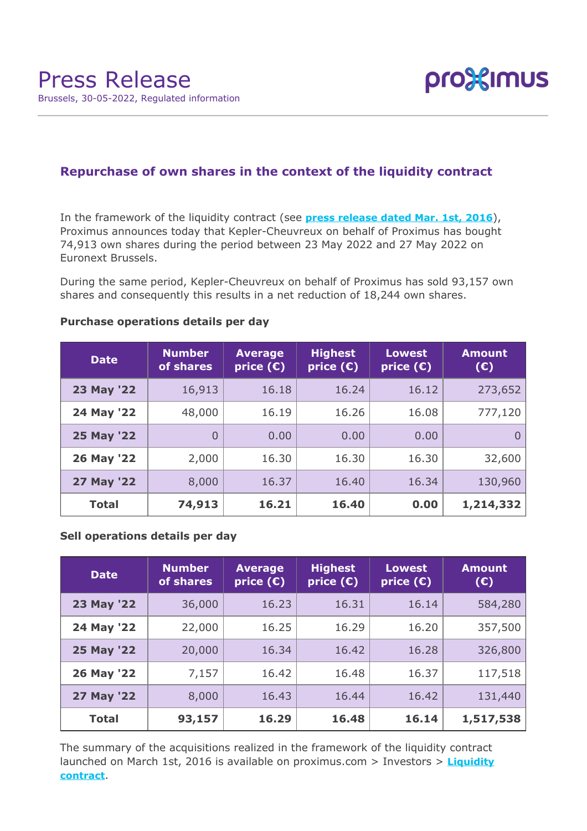

# **Repurchase of own shares in the context of the liquidity contract**

In the framework of the liquidity contract (see **[press release dated Mar. 1st, 2016](https://www.proximus.com/news/2016/proximus-enters-liquidity-contract.html)**), Proximus announces today that Kepler-Cheuvreux on behalf of Proximus has bought 74,913 own shares during the period between 23 May 2022 and 27 May 2022 on Euronext Brussels.

During the same period, Kepler-Cheuvreux on behalf of Proximus has sold 93,157 own shares and consequently this results in a net reduction of 18,244 own shares.

| <b>Date</b>  | <b>Number</b><br>of shares | <b>Average</b><br>price $(\epsilon)$ | <b>Highest</b><br>price $(E)$ | <b>Lowest</b><br>price $(E)$ | <b>Amount</b><br>(E) |
|--------------|----------------------------|--------------------------------------|-------------------------------|------------------------------|----------------------|
| 23 May '22   | 16,913                     | 16.18                                | 16.24                         | 16.12                        | 273,652              |
| 24 May '22   | 48,000                     | 16.19                                | 16.26                         | 16.08                        | 777,120              |
| 25 May '22   | $\Omega$                   | 0.00                                 | 0.00                          | 0.00                         | O                    |
| 26 May '22   | 2,000                      | 16.30                                | 16.30                         | 16.30                        | 32,600               |
| 27 May '22   | 8,000                      | 16.37                                | 16.40                         | 16.34                        | 130,960              |
| <b>Total</b> | 74,913                     | 16.21                                | 16.40                         | 0.00                         | 1,214,332            |

### **Purchase operations details per day**

## **Sell operations details per day**

| <b>Date</b>  | <b>Number</b><br>of shares | <b>Average</b><br>price $(\epsilon)$ | <b>Highest</b><br>price $(\epsilon)$ | <b>Lowest</b><br>price $(E)$ | <b>Amount</b><br>(E) |
|--------------|----------------------------|--------------------------------------|--------------------------------------|------------------------------|----------------------|
| 23 May '22   | 36,000                     | 16.23                                | 16.31                                | 16.14                        | 584,280              |
| 24 May '22   | 22,000                     | 16.25                                | 16.29                                | 16.20                        | 357,500              |
| 25 May '22   | 20,000                     | 16.34                                | 16.42                                | 16.28                        | 326,800              |
| 26 May '22   | 7,157                      | 16.42                                | 16.48                                | 16.37                        | 117,518              |
| 27 May '22   | 8,000                      | 16.43                                | 16.44                                | 16.42                        | 131,440              |
| <b>Total</b> | 93,157                     | 16.29                                | 16.48                                | 16.14                        | 1,517,538            |

The summary of the acquisitions realized in the framework of the liquidity contract launched on March 1st, 2016 is available on proximus.com > Investors > **[Liquidity](https://www.proximus.com/en/investors/liquidity-contract.html) [contract](https://www.proximus.com/en/investors/liquidity-contract.html)**.